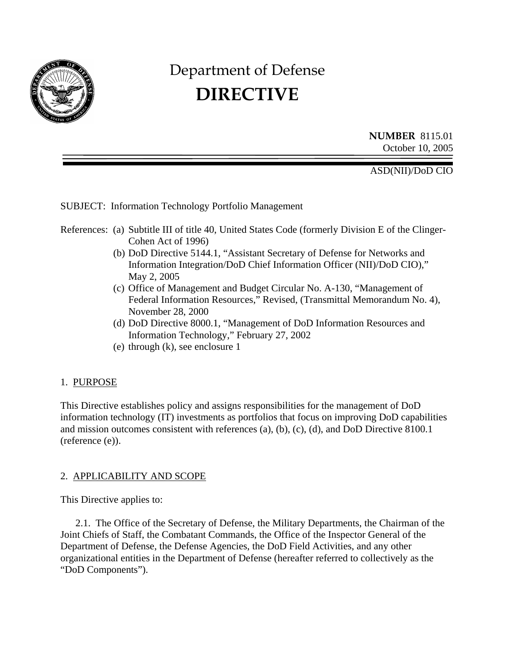

# Department of Defense **DIRECTIVE**

**NUMBER** 8115.01 October 10, 2005

ASD(NII)/DoD CIO

SUBJECT: Information Technology Portfolio Management

References: (a) Subtitle III of title 40, United States Code (formerly Division E of the Clinger-Cohen Act of 1996)

- (b) DoD Directive 5144.1, "Assistant Secretary of Defense for Networks and Information Integration/DoD Chief Information Officer (NII)/DoD CIO)," May 2, 2005
- (c) Office of Management and Budget Circular No. A-130, "Management of Federal Information Resources," Revised, (Transmittal Memorandum No. 4), November 28, 2000
- (d) DoD Directive 8000.1, "Management of DoD Information Resources and Information Technology," February 27, 2002
- (e) through (k), see enclosure 1

#### 1. PURPOSE

This Directive establishes policy and assigns responsibilities for the management of DoD information technology (IT) investments as portfolios that focus on improving DoD capabilities and mission outcomes consistent with references (a), (b), (c), (d), and DoD Directive 8100.1 (reference (e)).

#### 2. APPLICABILITY AND SCOPE

This Directive applies to:

2.1. The Office of the Secretary of Defense, the Military Departments, the Chairman of the Joint Chiefs of Staff, the Combatant Commands, the Office of the Inspector General of the Department of Defense, the Defense Agencies, the DoD Field Activities, and any other organizational entities in the Department of Defense (hereafter referred to collectively as the "DoD Components").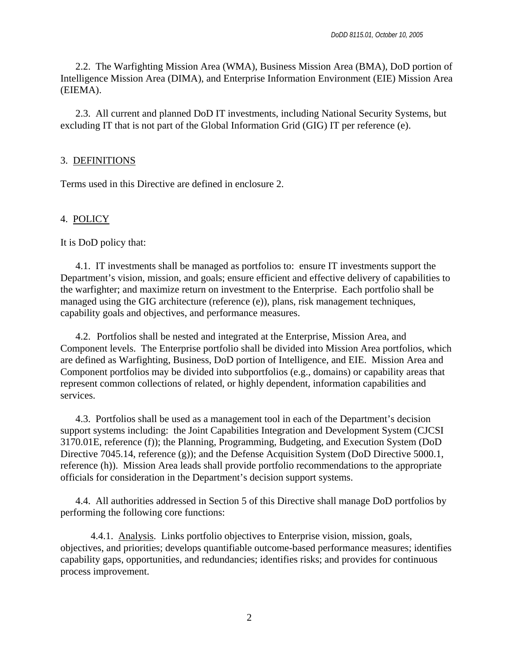2.2. The Warfighting Mission Area (WMA), Business Mission Area (BMA), DoD portion of Intelligence Mission Area (DIMA), and Enterprise Information Environment (EIE) Mission Area (EIEMA).

2.3. All current and planned DoD IT investments, including National Security Systems, but excluding IT that is not part of the Global Information Grid (GIG) IT per reference (e).

#### 3. DEFINITIONS

Terms used in this Directive are defined in enclosure 2.

#### 4. POLICY

It is DoD policy that:

4.1. IT investments shall be managed as portfolios to: ensure IT investments support the Department's vision, mission, and goals; ensure efficient and effective delivery of capabilities to the warfighter; and maximize return on investment to the Enterprise. Each portfolio shall be managed using the GIG architecture (reference (e)), plans, risk management techniques, capability goals and objectives, and performance measures.

4.2. Portfolios shall be nested and integrated at the Enterprise, Mission Area, and Component levels. The Enterprise portfolio shall be divided into Mission Area portfolios, which are defined as Warfighting, Business, DoD portion of Intelligence, and EIE. Mission Area and Component portfolios may be divided into subportfolios (e.g., domains) or capability areas that represent common collections of related, or highly dependent, information capabilities and services.

4.3. Portfolios shall be used as a management tool in each of the Department's decision support systems including: the Joint Capabilities Integration and Development System (CJCSI 3170.01E, reference (f)); the Planning, Programming, Budgeting, and Execution System (DoD Directive 7045.14, reference (g)); and the Defense Acquisition System (DoD Directive 5000.1, reference (h)). Mission Area leads shall provide portfolio recommendations to the appropriate officials for consideration in the Department's decision support systems.

4.4. All authorities addressed in Section 5 of this Directive shall manage DoD portfolios by performing the following core functions:

4.4.1. Analysis. Links portfolio objectives to Enterprise vision, mission, goals, objectives, and priorities; develops quantifiable outcome-based performance measures; identifies capability gaps, opportunities, and redundancies; identifies risks; and provides for continuous process improvement.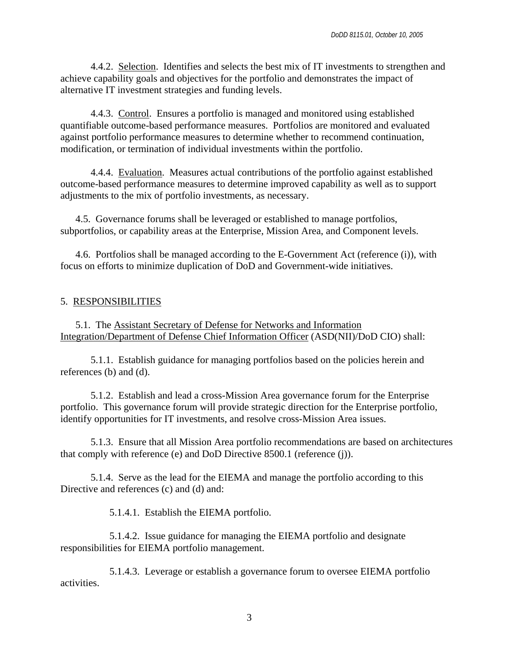4.4.2. Selection. Identifies and selects the best mix of IT investments to strengthen and achieve capability goals and objectives for the portfolio and demonstrates the impact of alternative IT investment strategies and funding levels.

4.4.3. Control. Ensures a portfolio is managed and monitored using established quantifiable outcome-based performance measures. Portfolios are monitored and evaluated against portfolio performance measures to determine whether to recommend continuation, modification, or termination of individual investments within the portfolio.

4.4.4. Evaluation. Measures actual contributions of the portfolio against established outcome-based performance measures to determine improved capability as well as to support adjustments to the mix of portfolio investments, as necessary.

4.5. Governance forums shall be leveraged or established to manage portfolios, subportfolios, or capability areas at the Enterprise, Mission Area, and Component levels.

4.6. Portfolios shall be managed according to the E-Government Act (reference (i)), with focus on efforts to minimize duplication of DoD and Government-wide initiatives.

#### 5. RESPONSIBILITIES

5.1. The Assistant Secretary of Defense for Networks and Information Integration/Department of Defense Chief Information Officer (ASD(NII)/DoD CIO) shall:

5.1.1. Establish guidance for managing portfolios based on the policies herein and references (b) and (d).

5.1.2. Establish and lead a cross-Mission Area governance forum for the Enterprise portfolio. This governance forum will provide strategic direction for the Enterprise portfolio, identify opportunities for IT investments, and resolve cross-Mission Area issues.

5.1.3. Ensure that all Mission Area portfolio recommendations are based on architectures that comply with reference (e) and DoD Directive 8500.1 (reference (j)).

5.1.4. Serve as the lead for the EIEMA and manage the portfolio according to this Directive and references (c) and (d) and:

5.1.4.1. Establish the EIEMA portfolio.

5.1.4.2. Issue guidance for managing the EIEMA portfolio and designate responsibilities for EIEMA portfolio management.

5.1.4.3. Leverage or establish a governance forum to oversee EIEMA portfolio activities.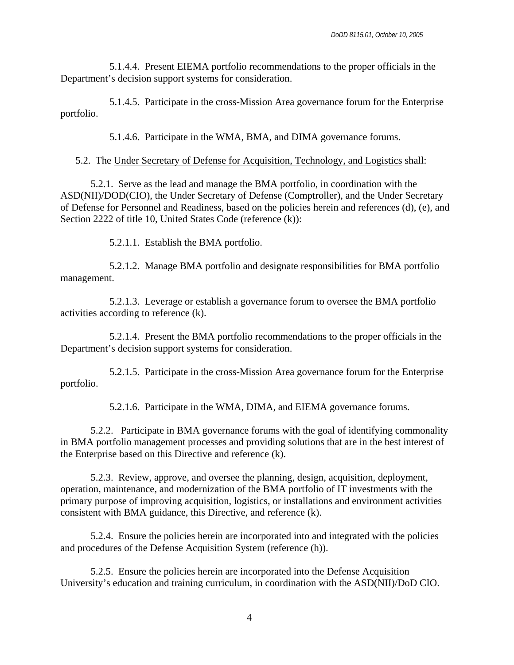5.1.4.4. Present EIEMA portfolio recommendations to the proper officials in the Department's decision support systems for consideration.

5.1.4.5. Participate in the cross-Mission Area governance forum for the Enterprise portfolio.

5.1.4.6. Participate in the WMA, BMA, and DIMA governance forums.

#### 5.2. The Under Secretary of Defense for Acquisition, Technology, and Logistics shall:

5.2.1. Serve as the lead and manage the BMA portfolio, in coordination with the ASD(NII)/DOD(CIO), the Under Secretary of Defense (Comptroller), and the Under Secretary of Defense for Personnel and Readiness, based on the policies herein and references (d), (e), and Section 2222 of title 10, United States Code (reference (k)):

5.2.1.1. Establish the BMA portfolio.

5.2.1.2. Manage BMA portfolio and designate responsibilities for BMA portfolio management.

5.2.1.3. Leverage or establish a governance forum to oversee the BMA portfolio activities according to reference (k).

5.2.1.4. Present the BMA portfolio recommendations to the proper officials in the Department's decision support systems for consideration.

5.2.1.5. Participate in the cross-Mission Area governance forum for the Enterprise portfolio.

5.2.1.6. Participate in the WMA, DIMA, and EIEMA governance forums.

5.2.2. Participate in BMA governance forums with the goal of identifying commonality in BMA portfolio management processes and providing solutions that are in the best interest of the Enterprise based on this Directive and reference (k).

5.2.3. Review, approve, and oversee the planning, design, acquisition, deployment, operation, maintenance, and modernization of the BMA portfolio of IT investments with the primary purpose of improving acquisition, logistics, or installations and environment activities consistent with BMA guidance, this Directive, and reference (k).

5.2.4. Ensure the policies herein are incorporated into and integrated with the policies and procedures of the Defense Acquisition System (reference (h)).

5.2.5. Ensure the policies herein are incorporated into the Defense Acquisition University's education and training curriculum, in coordination with the ASD(NII)/DoD CIO.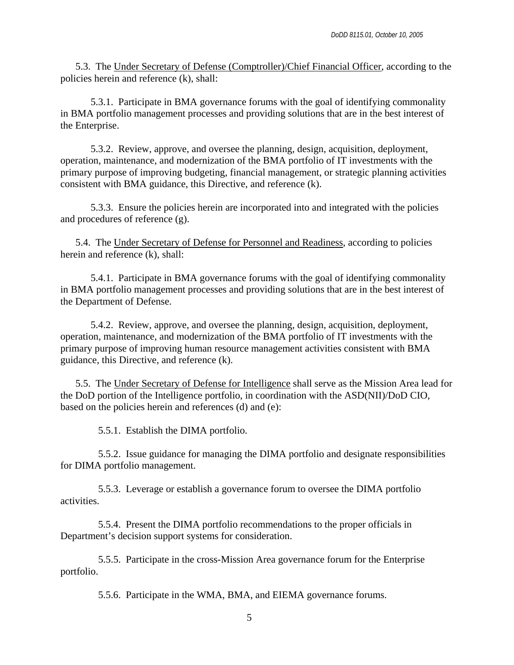5.3. The Under Secretary of Defense (Comptroller)/Chief Financial Officer, according to the policies herein and reference (k), shall:

5.3.1. Participate in BMA governance forums with the goal of identifying commonality in BMA portfolio management processes and providing solutions that are in the best interest of the Enterprise.

5.3.2. Review, approve, and oversee the planning, design, acquisition, deployment, operation, maintenance, and modernization of the BMA portfolio of IT investments with the primary purpose of improving budgeting, financial management, or strategic planning activities consistent with BMA guidance, this Directive, and reference (k).

5.3.3. Ensure the policies herein are incorporated into and integrated with the policies and procedures of reference (g).

5.4. The Under Secretary of Defense for Personnel and Readiness, according to policies herein and reference (k), shall:

5.4.1. Participate in BMA governance forums with the goal of identifying commonality in BMA portfolio management processes and providing solutions that are in the best interest of the Department of Defense.

5.4.2. Review, approve, and oversee the planning, design, acquisition, deployment, operation, maintenance, and modernization of the BMA portfolio of IT investments with the primary purpose of improving human resource management activities consistent with BMA guidance, this Directive, and reference (k).

5.5. The Under Secretary of Defense for Intelligence shall serve as the Mission Area lead for the DoD portion of the Intelligence portfolio, in coordination with the ASD(NII)/DoD CIO, based on the policies herein and references (d) and (e):

5.5.1. Establish the DIMA portfolio.

5.5.2. Issue guidance for managing the DIMA portfolio and designate responsibilities for DIMA portfolio management.

5.5.3. Leverage or establish a governance forum to oversee the DIMA portfolio activities.

5.5.4. Present the DIMA portfolio recommendations to the proper officials in Department's decision support systems for consideration.

5.5.5. Participate in the cross-Mission Area governance forum for the Enterprise portfolio.

5.5.6. Participate in the WMA, BMA, and EIEMA governance forums.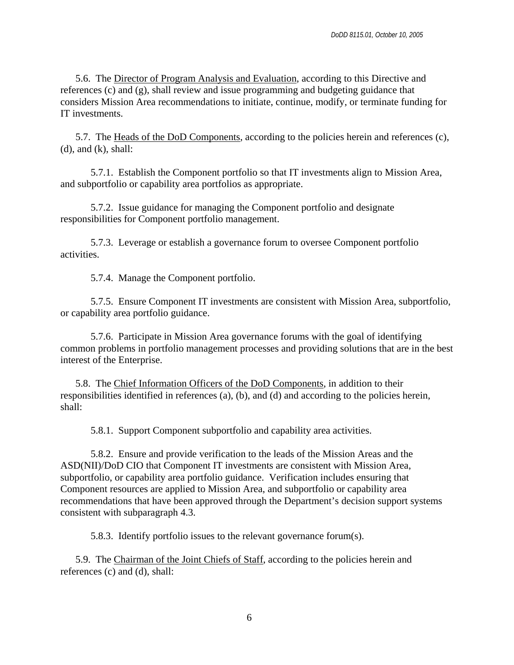5.6. The Director of Program Analysis and Evaluation, according to this Directive and references (c) and (g), shall review and issue programming and budgeting guidance that considers Mission Area recommendations to initiate, continue, modify, or terminate funding for IT investments.

5.7. The Heads of the DoD Components, according to the policies herein and references (c),  $(d)$ , and  $(k)$ , shall:

5.7.1. Establish the Component portfolio so that IT investments align to Mission Area, and subportfolio or capability area portfolios as appropriate.

5.7.2. Issue guidance for managing the Component portfolio and designate responsibilities for Component portfolio management.

5.7.3. Leverage or establish a governance forum to oversee Component portfolio activities.

5.7.4. Manage the Component portfolio.

5.7.5. Ensure Component IT investments are consistent with Mission Area, subportfolio, or capability area portfolio guidance.

5.7.6. Participate in Mission Area governance forums with the goal of identifying common problems in portfolio management processes and providing solutions that are in the best interest of the Enterprise.

5.8. The Chief Information Officers of the DoD Components, in addition to their responsibilities identified in references (a), (b), and (d) and according to the policies herein, shall:

5.8.1. Support Component subportfolio and capability area activities.

5.8.2. Ensure and provide verification to the leads of the Mission Areas and the ASD(NII)/DoD CIO that Component IT investments are consistent with Mission Area, subportfolio, or capability area portfolio guidance. Verification includes ensuring that Component resources are applied to Mission Area, and subportfolio or capability area recommendations that have been approved through the Department's decision support systems consistent with subparagraph 4.3.

5.8.3. Identify portfolio issues to the relevant governance forum(s).

5.9. The Chairman of the Joint Chiefs of Staff, according to the policies herein and references (c) and (d), shall: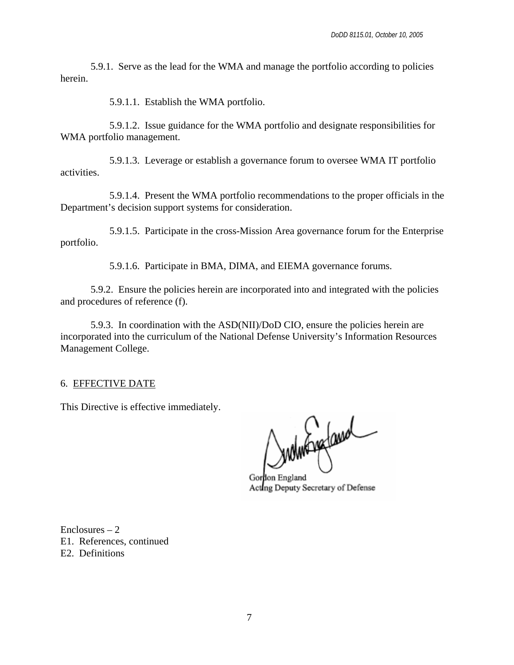5.9.1. Serve as the lead for the WMA and manage the portfolio according to policies herein.

5.9.1.1. Establish the WMA portfolio.

5.9.1.2. Issue guidance for the WMA portfolio and designate responsibilities for WMA portfolio management.

5.9.1.3. Leverage or establish a governance forum to oversee WMA IT portfolio activities.

5.9.1.4. Present the WMA portfolio recommendations to the proper officials in the Department's decision support systems for consideration.

5.9.1.5. Participate in the cross-Mission Area governance forum for the Enterprise portfolio.

5.9.1.6. Participate in BMA, DIMA, and EIEMA governance forums.

 5.9.2. Ensure the policies herein are incorporated into and integrated with the policies and procedures of reference (f).

5.9.3. In coordination with the ASD(NII)/DoD CIO, ensure the policies herein are incorporated into the curriculum of the National Defense University's Information Resources Management College.

6. EFFECTIVE DATE

This Directive is effective immediately.

Indinfragland

Gordon England Acting Deputy Secretary of Defense

 $Enclosures - 2$ E1. References, continued E2. Definitions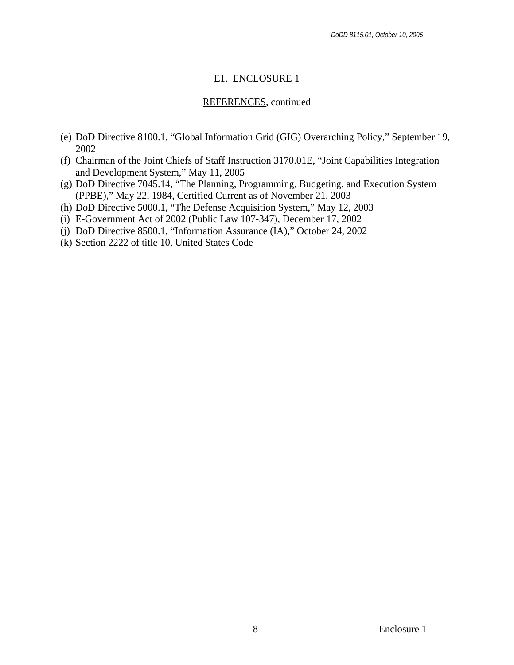## E1. ENCLOSURE 1

## REFERENCES, continued

- (e) DoD Directive 8100.1, "Global Information Grid (GIG) Overarching Policy," September 19, 2002
- (f) Chairman of the Joint Chiefs of Staff Instruction 3170.01E, "Joint Capabilities Integration and Development System," May 11, 2005
- (g) DoD Directive 7045.14, "The Planning, Programming, Budgeting, and Execution System (PPBE)," May 22, 1984, Certified Current as of November 21, 2003
- (h) DoD Directive 5000.1, "The Defense Acquisition System," May 12, 2003
- (i) E-Government Act of 2002 (Public Law 107-347), December 17, 2002
- (j) DoD Directive 8500.1, "Information Assurance (IA)," October 24, 2002
- (k) Section 2222 of title 10, United States Code